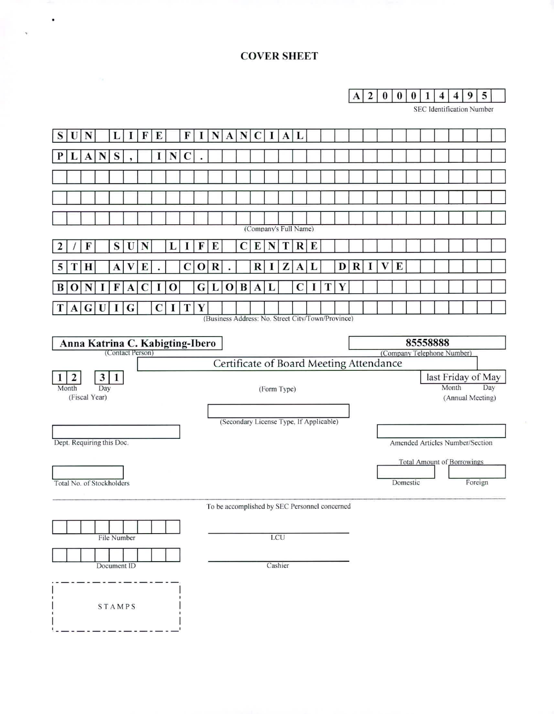## **COVER SHEET**

 $\bullet$ 

 $\mathbf{v}$ 

**A 2 0 0 0 4 4 9 5** 

SEC identification Number

| S                                      | IJ    | N            |                           | L            | 1           | F                                                   | E            |              | F           |             | N       | A                  | N           |         | 1   | $\mathbf{A}$                                      | L           |   |    |   |                                         |  |   |   |          |  |                                        |       |                                   |         |  |
|----------------------------------------|-------|--------------|---------------------------|--------------|-------------|-----------------------------------------------------|--------------|--------------|-------------|-------------|---------|--------------------|-------------|---------|-----|---------------------------------------------------|-------------|---|----|---|-----------------------------------------|--|---|---|----------|--|----------------------------------------|-------|-----------------------------------|---------|--|
|                                        |       | $\mathbf{A}$ | N                         | S            |             |                                                     | $\mathbf{I}$ | N            | $\mathbf C$ |             |         |                    |             |         |     |                                                   |             |   |    |   |                                         |  |   |   |          |  |                                        |       |                                   |         |  |
|                                        |       |              |                           |              |             |                                                     |              |              |             |             |         |                    |             |         |     |                                                   |             |   |    |   |                                         |  |   |   |          |  |                                        |       |                                   |         |  |
|                                        |       |              |                           |              |             |                                                     |              |              |             |             |         |                    |             |         |     |                                                   |             |   |    |   |                                         |  |   |   |          |  |                                        |       |                                   |         |  |
|                                        |       |              |                           |              |             |                                                     |              |              |             |             |         |                    |             |         |     |                                                   |             |   |    |   |                                         |  |   |   |          |  |                                        |       |                                   |         |  |
|                                        |       |              |                           |              |             |                                                     |              |              |             |             |         |                    |             |         |     | (Company's Full Name)                             |             |   |    |   |                                         |  |   |   |          |  |                                        |       |                                   |         |  |
|                                        |       | F            |                           | $\bf S$      | U           | N                                                   |              |              | 1           | F           | E       |                    | $\mathbf C$ | E       | N   | T                                                 | R           | E |    |   |                                         |  |   |   |          |  |                                        |       |                                   |         |  |
|                                        |       | H            |                           | A            |             | E                                                   |              |              | $\mathbf C$ | $\mathbf 0$ | $\bf R$ |                    |             | $\bf R$ |     | Z                                                 | A           |   |    | D | $\bf R$                                 |  | V | E |          |  |                                        |       |                                   |         |  |
|                                        | 0     | N            |                           | F            | A           |                                                     |              | 0            |             | G           | L       | $\bf{O}$           | $\bf{B}$    | A       |     |                                                   | $\mathbf C$ | 1 | T. | Y |                                         |  |   |   |          |  |                                        |       |                                   |         |  |
|                                        |       |              | A G U                     | $\mathbf{I}$ | G           |                                                     | C            | $\mathbf{I}$ |             | T Y         |         |                    |             |         |     |                                                   |             |   |    |   |                                         |  |   |   |          |  |                                        |       |                                   |         |  |
|                                        |       |              |                           |              |             |                                                     |              |              |             |             |         |                    |             |         |     | (Business Address: No. Street City/Town/Province) |             |   |    |   |                                         |  |   |   |          |  |                                        |       |                                   |         |  |
|                                        |       |              |                           |              |             | Anna Katrina C. Kabigting-Ibero<br>(Contact Person) |              |              |             |             |         |                    |             |         |     |                                                   |             |   |    |   |                                         |  |   |   |          |  | 85558888<br>(Company Telephone Number) |       |                                   |         |  |
|                                        |       |              |                           |              |             |                                                     |              |              |             |             |         |                    |             |         |     |                                                   |             |   |    |   | Certificate of Board Meeting Attendance |  |   |   |          |  |                                        |       |                                   |         |  |
| $\mathbf{3}$<br>$\mathbf{1}$<br>2<br>1 |       |              |                           |              |             |                                                     |              |              |             |             |         | last Friday of May |             |         |     |                                                   |             |   |    |   |                                         |  |   |   |          |  |                                        |       |                                   |         |  |
|                                        | Month |              | Day<br>(Fiscal Year)      |              |             |                                                     |              |              |             |             |         |                    |             |         |     | (Form Type)                                       |             |   |    |   |                                         |  |   |   |          |  |                                        | Month | (Annual Meeting)                  | Day     |  |
|                                        |       |              |                           |              |             |                                                     |              |              |             |             |         |                    |             |         |     |                                                   |             |   |    |   |                                         |  |   |   |          |  |                                        |       |                                   |         |  |
|                                        |       |              |                           |              |             |                                                     |              |              |             |             |         |                    |             |         |     | (Secondary License Type, If Applicable)           |             |   |    |   |                                         |  |   |   |          |  |                                        |       |                                   |         |  |
|                                        |       |              | Dept. Requiring this Doc. |              |             |                                                     |              |              |             |             |         |                    |             |         |     |                                                   |             |   |    |   |                                         |  |   |   |          |  |                                        |       | Amended Articles Number/Section   |         |  |
|                                        |       |              |                           |              |             |                                                     |              |              |             |             |         |                    |             |         |     |                                                   |             |   |    |   |                                         |  |   |   |          |  |                                        |       | <b>Total Amount of Borrowings</b> |         |  |
|                                        |       |              | Total No. of Stockholders |              |             |                                                     |              |              |             |             |         |                    |             |         |     |                                                   |             |   |    |   |                                         |  |   |   | Domestic |  |                                        |       |                                   | Foreign |  |
|                                        |       |              |                           |              |             |                                                     |              |              |             |             |         |                    |             |         |     | To be accomplished by SEC Personnel concerned     |             |   |    |   |                                         |  |   |   |          |  |                                        |       |                                   |         |  |
|                                        |       |              |                           |              |             |                                                     |              |              |             |             |         |                    |             |         |     |                                                   |             |   |    |   |                                         |  |   |   |          |  |                                        |       |                                   |         |  |
|                                        |       |              |                           |              | File Number |                                                     |              |              |             |             |         |                    |             |         | LCU |                                                   |             |   |    |   |                                         |  |   |   |          |  |                                        |       |                                   |         |  |
|                                        |       |              |                           |              | Document ID |                                                     |              |              |             |             |         |                    |             |         |     | Cashier                                           |             |   |    |   |                                         |  |   |   |          |  |                                        |       |                                   |         |  |
|                                        |       |              |                           |              |             |                                                     |              |              |             |             |         |                    |             |         |     |                                                   |             |   |    |   |                                         |  |   |   |          |  |                                        |       |                                   |         |  |
|                                        |       |              |                           |              |             |                                                     |              |              |             |             |         |                    |             |         |     |                                                   |             |   |    |   |                                         |  |   |   |          |  |                                        |       |                                   |         |  |
|                                        |       |              |                           |              | STAMPS      |                                                     |              |              |             |             |         |                    |             |         |     |                                                   |             |   |    |   |                                         |  |   |   |          |  |                                        |       |                                   |         |  |
|                                        |       |              |                           |              |             |                                                     |              |              |             |             |         |                    |             |         |     |                                                   |             |   |    |   |                                         |  |   |   |          |  |                                        |       |                                   |         |  |